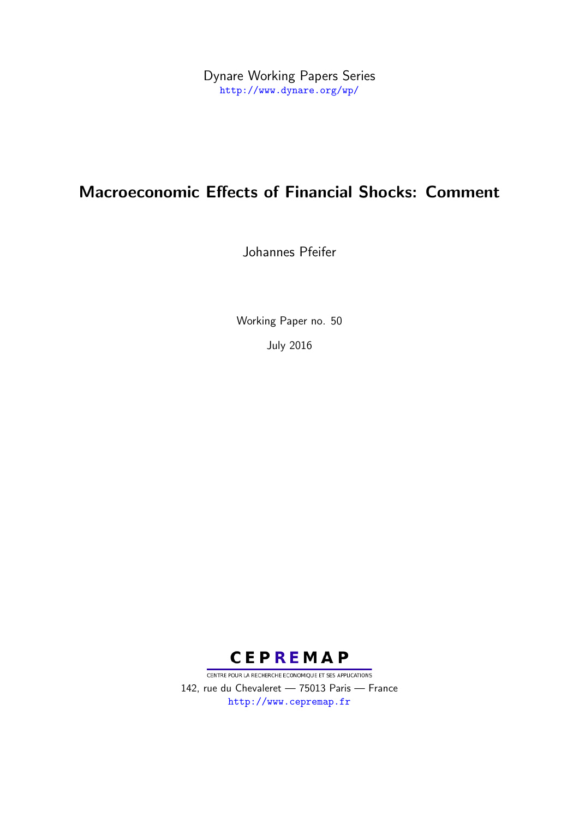Dynare Working Papers Series <http://www.dynare.org/wp/>

# Macroeconomic Effects of Financial Shocks: Comment

Johannes Pfeifer

Working Paper no. 50

July 2016



CENTRE POUR LA RECHERCHE ECONOMIQUE ET SES APPLICATIONS 142, rue du Chevaleret — 75013 Paris — France <http://www.cepremap.fr>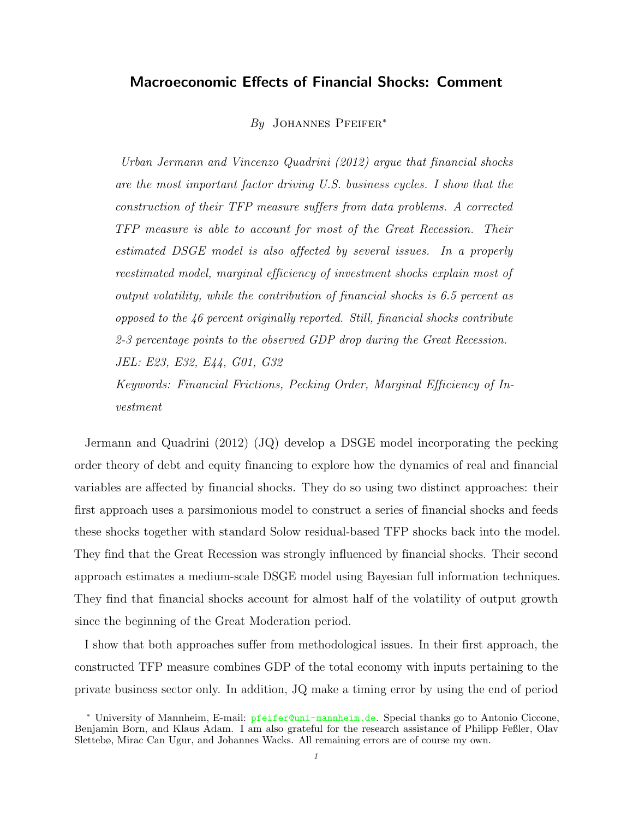# Macroeconomic Effects of Financial Shocks: Comment

By JOHANNES PFEIFER<sup>\*</sup>

[Urban Jermann and Vincenzo Quadrini](#page-13-0) [\(2012\)](#page-13-0) argue that financial shocks are the most important factor driving U.S. business cycles. I show that the construction of their TFP measure suffers from data problems. A corrected TFP measure is able to account for most of the Great Recession. Their estimated DSGE model is also affected by several issues. In a properly reestimated model, marginal efficiency of investment shocks explain most of output volatility, while the contribution of financial shocks is 6.5 percent as opposed to the 46 percent originally reported. Still, financial shocks contribute 2-3 percentage points to the observed GDP drop during the Great Recession. JEL: E23, E32, E44, G01, G32 Keywords: Financial Frictions, Pecking Order, Marginal Efficiency of Investment

[Jermann and Quadrini](#page-13-0) [\(2012\)](#page-13-0) (JQ) develop a DSGE model incorporating the pecking order theory of debt and equity financing to explore how the dynamics of real and financial variables are affected by financial shocks. They do so using two distinct approaches: their first approach uses a parsimonious model to construct a series of financial shocks and feeds these shocks together with standard Solow residual-based TFP shocks back into the model. They find that the Great Recession was strongly influenced by financial shocks. Their second approach estimates a medium-scale DSGE model using Bayesian full information techniques. They find that financial shocks account for almost half of the volatility of output growth since the beginning of the Great Moderation period.

I show that both approaches suffer from methodological issues. In their first approach, the constructed TFP measure combines GDP of the total economy with inputs pertaining to the private business sector only. In addition, JQ make a timing error by using the end of period

<sup>∗</sup> University of Mannheim, E-mail: <pfeifer@uni-mannheim.de>. Special thanks go to Antonio Ciccone, Benjamin Born, and Klaus Adam. I am also grateful for the research assistance of Philipp Feßler, Olav Slettebø, Mirac Can Ugur, and Johannes Wacks. All remaining errors are of course my own.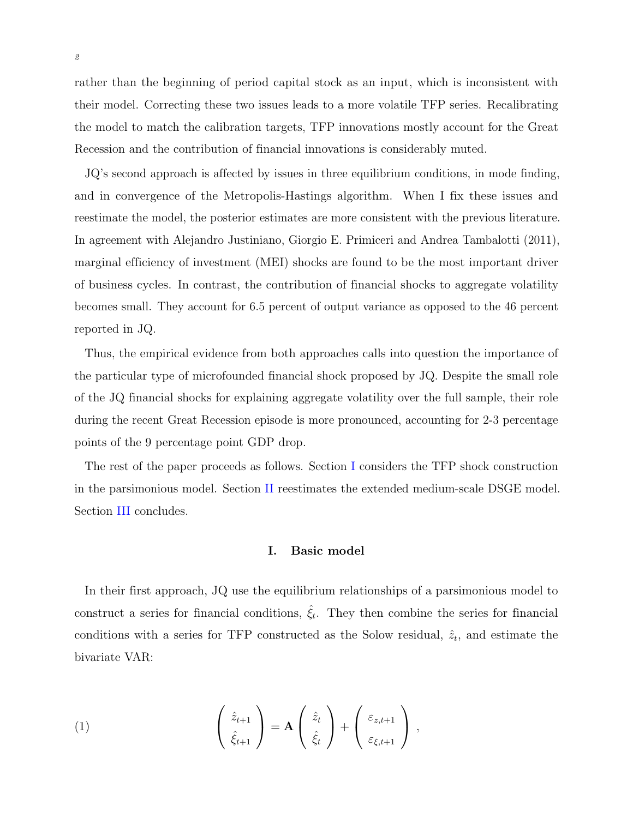rather than the beginning of period capital stock as an input, which is inconsistent with their model. Correcting these two issues leads to a more volatile TFP series. Recalibrating the model to match the calibration targets, TFP innovations mostly account for the Great Recession and the contribution of financial innovations is considerably muted.

JQ's second approach is affected by issues in three equilibrium conditions, in mode finding, and in convergence of the Metropolis-Hastings algorithm. When I fix these issues and reestimate the model, the posterior estimates are more consistent with the previous literature. In agreement with [Alejandro Justiniano, Giorgio E. Primiceri and Andrea Tambalotti](#page-13-1) [\(2011\)](#page-13-1), marginal efficiency of investment (MEI) shocks are found to be the most important driver of business cycles. In contrast, the contribution of financial shocks to aggregate volatility becomes small. They account for 6.5 percent of output variance as opposed to the 46 percent reported in JQ.

Thus, the empirical evidence from both approaches calls into question the importance of the particular type of microfounded financial shock proposed by JQ. Despite the small role of the JQ financial shocks for explaining aggregate volatility over the full sample, their role during the recent Great Recession episode is more pronounced, accounting for 2-3 percentage points of the 9 percentage point GDP drop.

The rest of the paper proceeds as follows. Section [I](#page-2-0) considers the TFP shock construction in the parsimonious model. Section [II](#page-6-0) reestimates the extended medium-scale DSGE model. Section [III](#page-11-0) concludes.

### I. Basic model

<span id="page-2-0"></span>In their first approach, JQ use the equilibrium relationships of a parsimonious model to construct a series for financial conditions,  $\hat{\xi}_t$ . They then combine the series for financial conditions with a series for TFP constructed as the Solow residual,  $\hat{z}_t$ , and estimate the bivariate VAR:

<span id="page-2-1"></span>(1) 
$$
\begin{pmatrix} \hat{z}_{t+1} \\ \hat{\xi}_{t+1} \end{pmatrix} = \mathbf{A} \begin{pmatrix} \hat{z}_t \\ \hat{\xi}_t \end{pmatrix} + \begin{pmatrix} \varepsilon_{z,t+1} \\ \varepsilon_{\xi,t+1} \end{pmatrix},
$$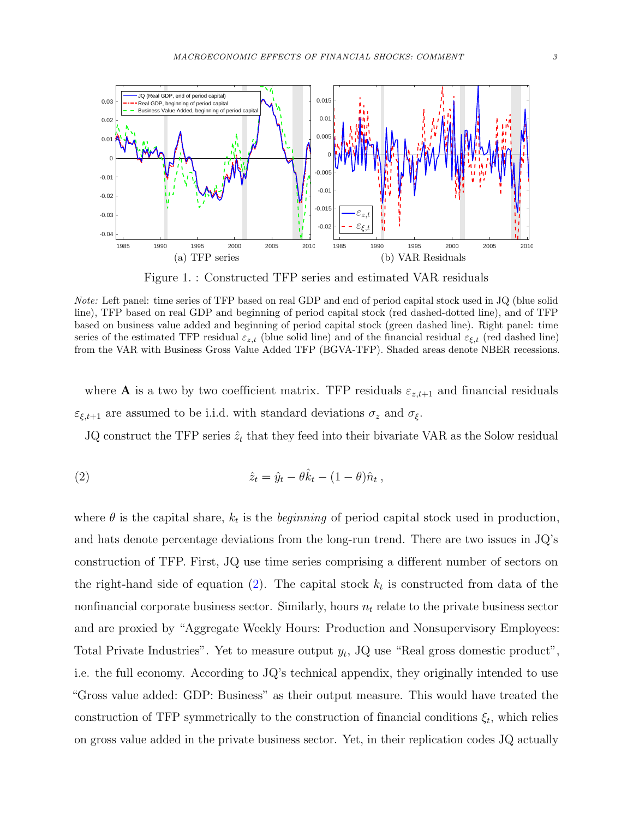<span id="page-3-1"></span>

Figure 1. : Constructed TFP series and estimated VAR residuals

Note: Left panel: time series of TFP based on real GDP and end of period capital stock used in JQ (blue solid line), TFP based on real GDP and beginning of period capital stock (red dashed-dotted line), and of TFP based on business value added and beginning of period capital stock (green dashed line). Right panel: time series of the estimated TFP residual  $\varepsilon_{z,t}$  (blue solid line) and of the financial residual  $\varepsilon_{\xi,t}$  (red dashed line) from the VAR with Business Gross Value Added TFP (BGVA-TFP). Shaded areas denote NBER recessions.

where **A** is a two by two coefficient matrix. TFP residuals  $\varepsilon_{z,t+1}$  and financial residuals  $\varepsilon_{\xi,t+1}$  are assumed to be i.i.d. with standard deviations  $\sigma_z$  and  $\sigma_\xi.$ 

<span id="page-3-0"></span>JQ construct the TFP series  $\hat{z}_t$  that they feed into their bivariate VAR as the Solow residual

(2) 
$$
\hat{z}_t = \hat{y}_t - \theta \hat{k}_t - (1 - \theta) \hat{n}_t,
$$

where  $\theta$  is the capital share,  $k_t$  is the *beginning* of period capital stock used in production, and hats denote percentage deviations from the long-run trend. There are two issues in JQ's construction of TFP. First, JQ use time series comprising a different number of sectors on the right-hand side of equation [\(2\)](#page-3-0). The capital stock  $k_t$  is constructed from data of the nonfinancial corporate business sector. Similarly, hours  $n_t$  relate to the private business sector and are proxied by "Aggregate Weekly Hours: Production and Nonsupervisory Employees: Total Private Industries". Yet to measure output  $y_t$ , JQ use "Real gross domestic product", i.e. the full economy. According to JQ's technical appendix, they originally intended to use "Gross value added: GDP: Business" as their output measure. This would have treated the construction of TFP symmetrically to the construction of financial conditions  $\xi_t$ , which relies on gross value added in the private business sector. Yet, in their replication codes JQ actually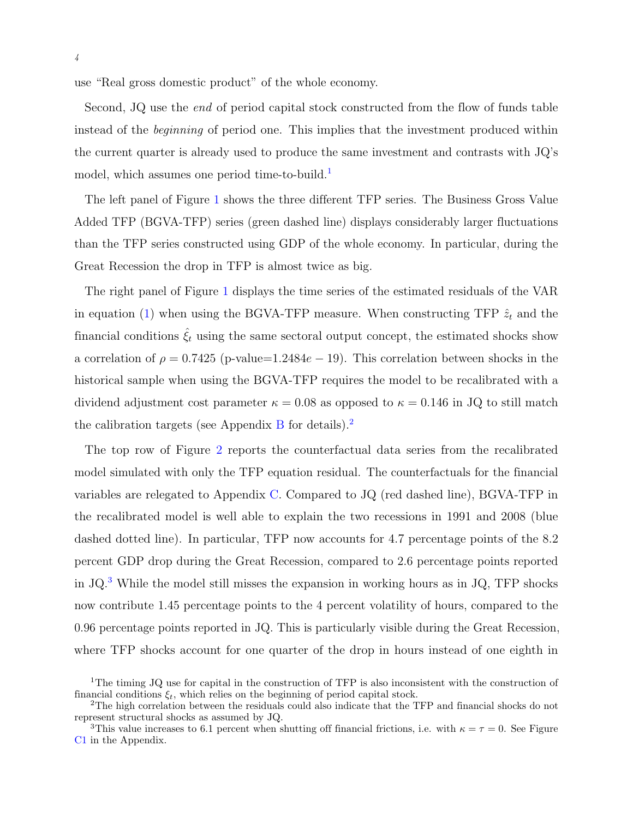use "Real gross domestic product" of the whole economy.

Second, JQ use the *end* of period capital stock constructed from the flow of funds table instead of the beginning of period one. This implies that the investment produced within the current quarter is already used to produce the same investment and contrasts with JQ's model, which assumes one period time-to-build.<sup>[1](#page-4-0)</sup>

The left panel of Figure [1](#page-3-1) shows the three different TFP series. The Business Gross Value Added TFP (BGVA-TFP) series (green dashed line) displays considerably larger fluctuations than the TFP series constructed using GDP of the whole economy. In particular, during the Great Recession the drop in TFP is almost twice as big.

The right panel of Figure [1](#page-3-1) displays the time series of the estimated residuals of the VAR in equation [\(1\)](#page-2-1) when using the BGVA-TFP measure. When constructing TFP  $\hat{z}_t$  and the financial conditions  $\hat{\xi}_t$  using the same sectoral output concept, the estimated shocks show a correlation of  $\rho = 0.7425$  (p-value=1.2484e – 19). This correlation between shocks in the historical sample when using the BGVA-TFP requires the model to be recalibrated with a dividend adjustment cost parameter  $\kappa = 0.08$  as opposed to  $\kappa = 0.146$  in JQ to still match the calibration targets (see Appendix [B](#page-15-0) for details).<sup>[2](#page-4-1)</sup>

The top row of Figure [2](#page-5-0) reports the counterfactual data series from the recalibrated model simulated with only the TFP equation residual. The counterfactuals for the financial variables are relegated to Appendix [C.](#page-17-0) Compared to JQ (red dashed line), BGVA-TFP in the recalibrated model is well able to explain the two recessions in 1991 and 2008 (blue dashed dotted line). In particular, TFP now accounts for 4.7 percentage points of the 8.2 percent GDP drop during the Great Recession, compared to 2.6 percentage points reported in  $JQ<sup>3</sup>$  $JQ<sup>3</sup>$  $JQ<sup>3</sup>$  While the model still misses the expansion in working hours as in  $JQ$ , TFP shocks now contribute 1.45 percentage points to the 4 percent volatility of hours, compared to the 0.96 percentage points reported in JQ. This is particularly visible during the Great Recession, where TFP shocks account for one quarter of the drop in hours instead of one eighth in

<span id="page-4-0"></span><sup>&</sup>lt;sup>1</sup>The timing JQ use for capital in the construction of TFP is also inconsistent with the construction of financial conditions  $\xi_t$ , which relies on the beginning of period capital stock.

<span id="page-4-1"></span><sup>2</sup>The high correlation between the residuals could also indicate that the TFP and financial shocks do not represent structural shocks as assumed by JQ.

<span id="page-4-2"></span><sup>&</sup>lt;sup>3</sup>This value increases to 6.1 percent when shutting off financial frictions, i.e. with  $\kappa = \tau = 0$ . See Figure [C1](#page-17-1) in the Appendix.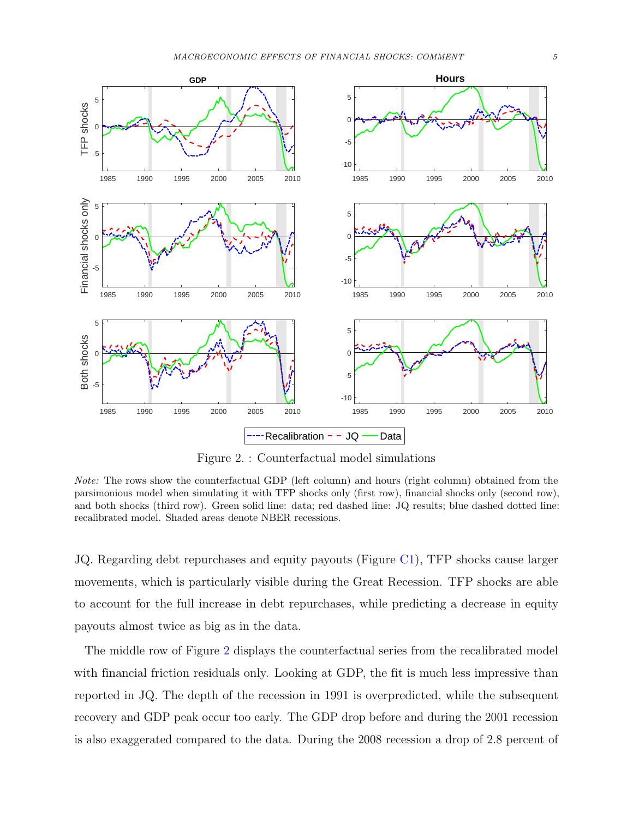<span id="page-5-0"></span>

Figure 2. : Counterfactual model simulations

Note: The rows show the counterfactual GDP (left column) and hours (right column) obtained from the parsimonious model when simulating it with TFP shocks only (first row), financial shocks only (second row), and both shocks (third row). Green solid line: data; red dashed line: JQ results; blue dashed dotted line: recalibrated model. Shaded areas denote NBER recessions.

JQ. Regarding debt repurchases and equity payouts (Figure [C1\)](#page-17-1), TFP shocks cause larger movements, which is particularly visible during the Great Recession. TFP shocks are able to account for the full increase in debt repurchases, while predicting a decrease in equity payouts almost twice as big as in the data.

The middle row of Figure [2](#page-5-0) displays the counterfactual series from the recalibrated model with financial friction residuals only. Looking at GDP, the fit is much less impressive than reported in JQ. The depth of the recession in 1991 is overpredicted, while the subsequent recovery and GDP peak occur too early. The GDP drop before and during the 2001 recession is also exaggerated compared to the data. During the 2008 recession a drop of 2.8 percent of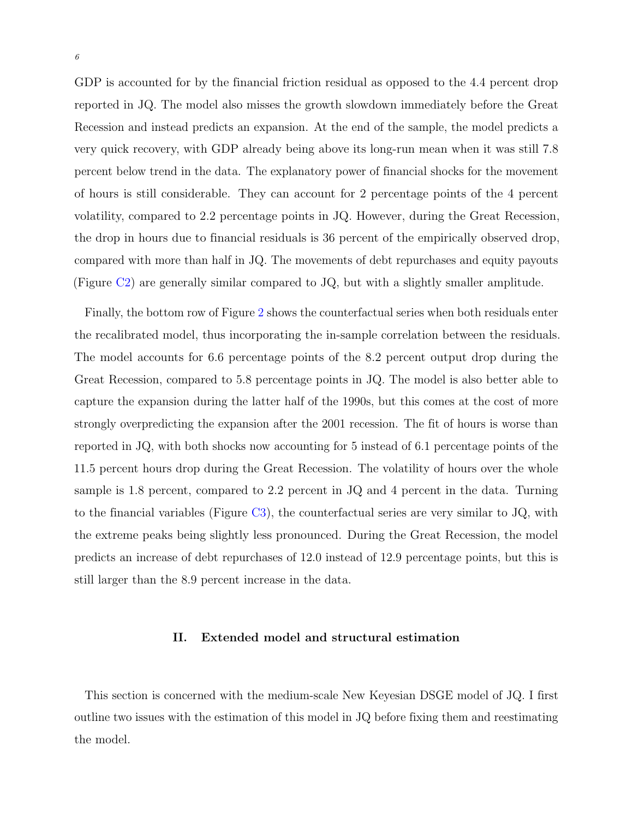GDP is accounted for by the financial friction residual as opposed to the 4.4 percent drop reported in JQ. The model also misses the growth slowdown immediately before the Great Recession and instead predicts an expansion. At the end of the sample, the model predicts a very quick recovery, with GDP already being above its long-run mean when it was still 7.8 percent below trend in the data. The explanatory power of financial shocks for the movement of hours is still considerable. They can account for 2 percentage points of the 4 percent volatility, compared to 2.2 percentage points in JQ. However, during the Great Recession, the drop in hours due to financial residuals is 36 percent of the empirically observed drop, compared with more than half in JQ. The movements of debt repurchases and equity payouts (Figure [C2\)](#page-18-0) are generally similar compared to JQ, but with a slightly smaller amplitude.

Finally, the bottom row of Figure [2](#page-5-0) shows the counterfactual series when both residuals enter the recalibrated model, thus incorporating the in-sample correlation between the residuals. The model accounts for 6.6 percentage points of the 8.2 percent output drop during the Great Recession, compared to 5.8 percentage points in JQ. The model is also better able to capture the expansion during the latter half of the 1990s, but this comes at the cost of more strongly overpredicting the expansion after the 2001 recession. The fit of hours is worse than reported in JQ, with both shocks now accounting for 5 instead of 6.1 percentage points of the 11.5 percent hours drop during the Great Recession. The volatility of hours over the whole sample is 1.8 percent, compared to 2.2 percent in JQ and 4 percent in the data. Turning to the financial variables (Figure [C3\)](#page-19-0), the counterfactual series are very similar to JQ, with the extreme peaks being slightly less pronounced. During the Great Recession, the model predicts an increase of debt repurchases of 12.0 instead of 12.9 percentage points, but this is still larger than the 8.9 percent increase in the data.

#### II. Extended model and structural estimation

<span id="page-6-0"></span>This section is concerned with the medium-scale New Keyesian DSGE model of JQ. I first outline two issues with the estimation of this model in JQ before fixing them and reestimating the model.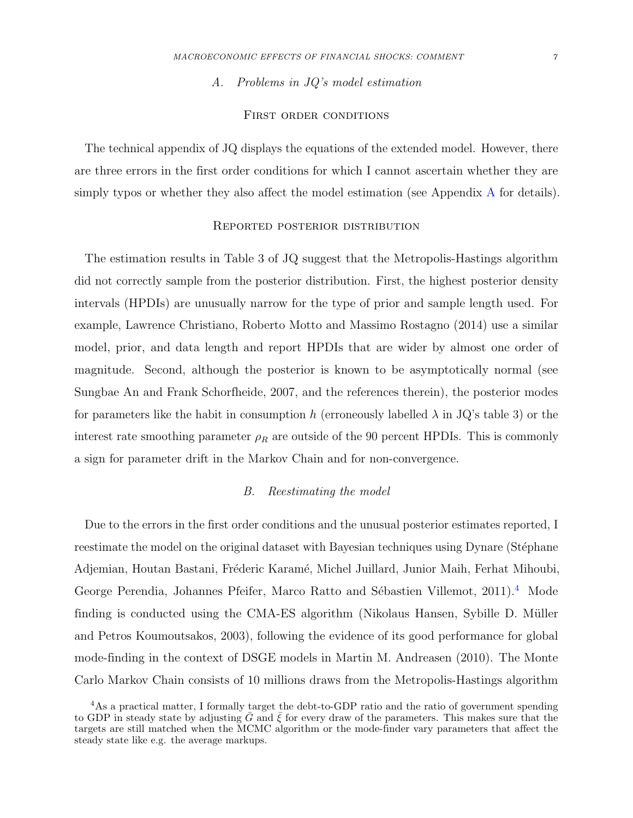A. Problems in JQ's model estimation

#### FIRST ORDER CONDITIONS

The technical appendix of JQ displays the equations of the extended model. However, there are three errors in the first order conditions for which I cannot ascertain whether they are simply typos or whether they also affect the model estimation (see Appendix [A](#page-14-0) for details).

#### Reported posterior distribution

The estimation results in Table 3 of JQ suggest that the Metropolis-Hastings algorithm did not correctly sample from the posterior distribution. First, the highest posterior density intervals (HPDIs) are unusually narrow for the type of prior and sample length used. For example, [Lawrence Christiano, Roberto Motto and Massimo Rostagno](#page-12-0) [\(2014\)](#page-12-0) use a similar model, prior, and data length and report HPDIs that are wider by almost one order of magnitude. Second, although the posterior is known to be asymptotically normal (see [Sungbae An and Frank Schorfheide,](#page-12-1) [2007,](#page-12-1) and the references therein), the posterior modes for parameters like the habit in consumption h (erroneously labelled  $\lambda$  in JQ's table 3) or the interest rate smoothing parameter  $\rho_R$  are outside of the 90 percent HPDIs. This is commonly a sign for parameter drift in the Markov Chain and for non-convergence.

#### B. Reestimating the model

Due to the errors in the first order conditions and the unusual posterior estimates reported, I reestimate the model on the original dataset with Bayesian techniques using Dynare (Stéphane Adjemian, Houtan Bastani, Fréderic Karamé, Michel Juillard, Junior Maih, Ferhat Mihoubi, George Perendia, Johannes Pfeifer, Marco Ratto and Sébastien Villemot, [2011\)](#page-12-2).<sup>[4](#page-7-0)</sup> Mode finding is conducted using the CMA-ES algorithm (Nikolaus Hansen, Sybille D. Müller [and Petros Koumoutsakos,](#page-12-3) [2003\)](#page-12-3), following the evidence of its good performance for global mode-finding in the context of DSGE models in [Martin M. Andreasen](#page-12-4) [\(2010\)](#page-12-4). The Monte Carlo Markov Chain consists of 10 millions draws from the Metropolis-Hastings algorithm

<span id="page-7-0"></span><sup>&</sup>lt;sup>4</sup>As a practical matter, I formally target the debt-to-GDP ratio and the ratio of government spending to GDP in steady state by adjusting  $\bar{G}$  and  $\bar{\xi}$  for every draw of the parameters. This makes sure that the targets are still matched when the MCMC algorithm or the mode-finder vary parameters that affect the steady state like e.g. the average markups.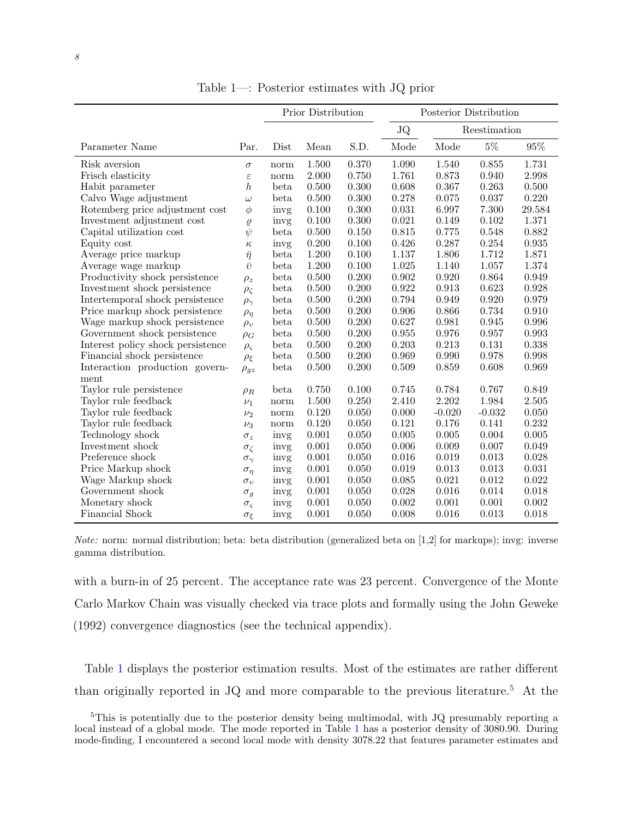<span id="page-8-0"></span>

|                                   |                      | Prior Distribution |           |       | Posterior Distribution    |           |          |           |
|-----------------------------------|----------------------|--------------------|-----------|-------|---------------------------|-----------|----------|-----------|
|                                   |                      |                    |           |       | <b>JQ</b><br>Reestimation |           |          |           |
| Parameter Name                    | Par.                 | Dist               | Mean      | S.D.  | Mode                      | Mode      | $5\%$    | $95\%$    |
| Risk aversion                     | $\sigma$             | norm               | 1.500     | 0.370 | 1.090                     | 1.540     | 0.855    | 1.731     |
| Frisch elasticity                 | $\varepsilon$        | norm               | 2.000     | 0.750 | 1.761                     | 0.873     | 0.940    | 2.998     |
| Habit parameter                   | $\boldsymbol{h}$     | beta               | 0.500     | 0.300 | 0.608                     | 0.367     | 0.263    | 0.500     |
| Calvo Wage adjustment             | $\omega$             | beta               | 0.500     | 0.300 | 0.278                     | 0.075     | 0.037    | 0.220     |
| Rotemberg price adjustment cost   | $\phi$               | invg               | 0.100     | 0.300 | 0.031                     | 6.997     | 7.300    | 29.584    |
| Investment adjustment cost        | $\varrho$            | invg               | 0.100     | 0.300 | 0.021                     | 0.149     | 0.102    | 1.371     |
| Capital utilization cost          | $\psi$               | beta               | 0.500     | 0.150 | 0.815                     | 0.775     | 0.548    | 0.882     |
| Equity cost                       | $\kappa$             | invg               | 0.200     | 0.100 | 0.426                     | 0.287     | 0.254    | 0.935     |
| Average price markup              | $\bar{\eta}$         | beta               | 1.200     | 0.100 | 1.137                     | 1.806     | 1.712    | 1.871     |
| Average wage markup               | $\bar{v}$            | beta               | 1.200     | 0.100 | 1.025                     | 1.140     | 1.057    | 1.374     |
| Productivity shock persistence    | $\rho_z$             | beta               | 0.500     | 0.200 | 0.902                     | 0.920     | 0.864    | 0.949     |
| Investment shock persistence      | $\rho_{\zeta}$       | beta               | 0.500     | 0.200 | 0.922                     | 0.913     | 0.623    | 0.928     |
| Intertemporal shock persistence   | $\rho_{\gamma}$      | beta               | 0.500     | 0.200 | 0.794                     | 0.949     | 0.920    | 0.979     |
| Price markup shock persistence    | $\rho_{\eta}$        | beta               | 0.500     | 0.200 | 0.906                     | 0.866     | 0.734    | 0.910     |
| Wage markup shock persistence     | $\rho_v$             | beta               | 0.500     | 0.200 | 0.627                     | 0.981     | 0.945    | 0.996     |
| Government shock persistence      | $\rho_G$             | beta               | 0.500     | 0.200 | 0.955                     | 0.976     | 0.957    | 0.993     |
| Interest policy shock persistence | $\rho_{\varsigma}$   | beta               | $0.500\,$ | 0.200 | 0.203                     | 0.213     | 0.131    | 0.338     |
| Financial shock persistence       | $\rho_{\xi}$         | beta               | $0.500\,$ | 0.200 | 0.969                     | 0.990     | 0.978    | 0.998     |
| Interaction production govern-    | $\rho_{gz}$          | beta               | 0.500     | 0.200 | 0.509                     | 0.859     | 0.608    | 0.969     |
| ment                              |                      |                    |           |       |                           |           |          |           |
| Taylor rule persistence           | $\rho_R$             | beta               | 0.750     | 0.100 | 0.745                     | 0.784     | 0.767    | 0.849     |
| Taylor rule feedback              | $\nu_1$              | norm               | 1.500     | 0.250 | 2.410                     | 2.202     | 1.984    | $2.505\,$ |
| Taylor rule feedback              | $\nu_2$              | norm               | 0.120     | 0.050 | 0.000                     | $-0.020$  | $-0.032$ | 0.050     |
| Taylor rule feedback              | $\nu_3$              | norm               | 0.120     | 0.050 | 0.121                     | 0.176     | 0.141    | 0.232     |
| Technology shock                  | $\sigma_z$           | invg               | 0.001     | 0.050 | 0.005                     | 0.005     | 0.004    | 0.005     |
| Investment shock                  | $\sigma_{\zeta}$     | invg               | 0.001     | 0.050 | 0.006                     | $0.009\,$ | 0.007    | 0.049     |
| Preference shock                  | $\sigma_{\gamma}$    | invg               | 0.001     | 0.050 | 0.016                     | 0.019     | 0.013    | 0.028     |
| Price Markup shock                | $\sigma_{\eta}$      | invg               | 0.001     | 0.050 | 0.019                     | 0.013     | 0.013    | 0.031     |
| Wage Markup shock                 | $\sigma_v$           | invg               | 0.001     | 0.050 | 0.085                     | 0.021     | 0.012    | 0.022     |
| Government shock                  | $\sigma_g$           | invg               | 0.001     | 0.050 | 0.028                     | 0.016     | 0.014    | 0.018     |
| Monetary shock                    | $\sigma_{\varsigma}$ | invg               | 0.001     | 0.050 | 0.002                     | 0.001     | 0.001    | 0.002     |
| <b>Financial Shock</b>            | $\sigma_{\xi}$       | invg               | 0.001     | 0.050 | 0.008                     | 0.016     | 0.013    | 0.018     |

Table 1—: Posterior estimates with JQ prior

Note: norm: normal distribution; beta: beta distribution (generalized beta on [1,2] for markups); invg: inverse gamma distribution.

with a burn-in of 25 percent. The acceptance rate was 23 percent. Convergence of the Monte Carlo Markov Chain was visually checked via trace plots and formally using the [John Geweke](#page-12-5) [\(1992\)](#page-12-5) convergence diagnostics (see the technical appendix).

Table [1](#page-8-0) displays the posterior estimation results. Most of the estimates are rather different than originally reported in JQ and more comparable to the previous literature.[5](#page-8-1) At the

<span id="page-8-1"></span><sup>&</sup>lt;sup>5</sup>This is potentially due to the posterior density being multimodal, with JQ presumably reporting a local instead of a global mode. The mode reported in Table [1](#page-8-0) has a posterior density of 3080.90. During mode-finding, I encountered a second local mode with density 3078.22 that features parameter estimates and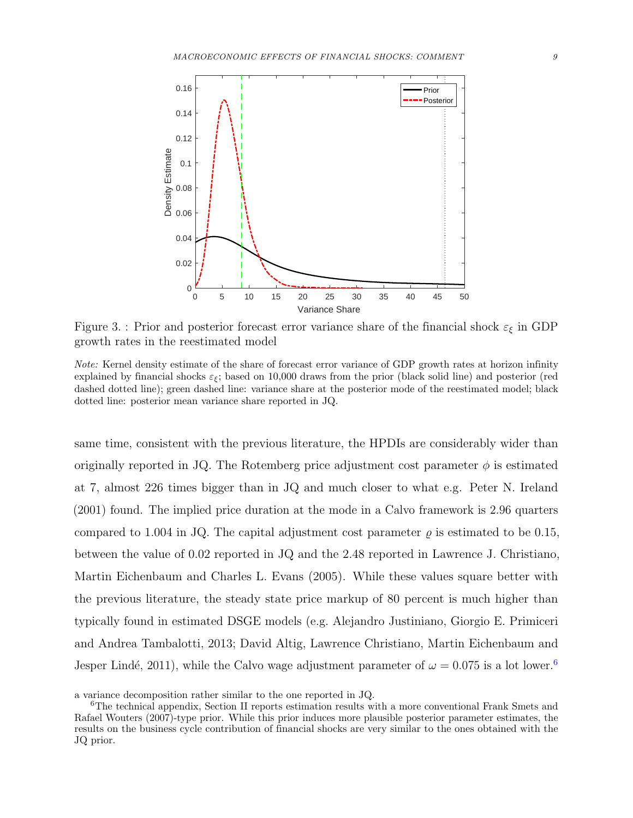<span id="page-9-1"></span>

Figure 3. : Prior and posterior forecast error variance share of the financial shock  $\varepsilon_{\xi}$  in GDP growth rates in the reestimated model

Note: Kernel density estimate of the share of forecast error variance of GDP growth rates at horizon infinity explained by financial shocks  $\varepsilon_{\xi}$ ; based on 10,000 draws from the prior (black solid line) and posterior (red dashed dotted line); green dashed line: variance share at the posterior mode of the reestimated model; black dotted line: posterior mean variance share reported in JQ.

same time, consistent with the previous literature, the HPDIs are considerably wider than originally reported in JQ. The Rotemberg price adjustment cost parameter  $\phi$  is estimated at 7, almost 226 times bigger than in JQ and much closer to what e.g. [Peter N. Ireland](#page-13-2) [\(2001\)](#page-13-2) found. The implied price duration at the mode in a Calvo framework is 2.96 quarters compared to 1.004 in JQ. The capital adjustment cost parameter  $\rho$  is estimated to be 0.15, between the value of 0.02 reported in JQ and the 2.48 reported in [Lawrence J. Christiano,](#page-12-6) [Martin Eichenbaum and Charles L. Evans](#page-12-6) [\(2005\)](#page-12-6). While these values square better with the previous literature, the steady state price markup of 80 percent is much higher than typically found in estimated DSGE models (e.g. [Alejandro Justiniano, Giorgio E. Primiceri](#page-13-3) [and Andrea Tambalotti,](#page-13-3) [2013;](#page-13-3) [David Altig, Lawrence Christiano, Martin Eichenbaum and](#page-12-7) Jesper Lindé, [2011\)](#page-12-7), while the Calvo wage adjustment parameter of  $\omega = 0.075$  is a lot lower.<sup>[6](#page-9-0)</sup>

a variance decomposition rather similar to the one reported in JQ.

<span id="page-9-0"></span><sup>6</sup>The technical appendix, Section II reports estimation results with a more conventional [Frank Smets and](#page-13-4) [Rafael Wouters](#page-13-4) [\(2007\)](#page-13-4)-type prior. While this prior induces more plausible posterior parameter estimates, the results on the business cycle contribution of financial shocks are very similar to the ones obtained with the JQ prior.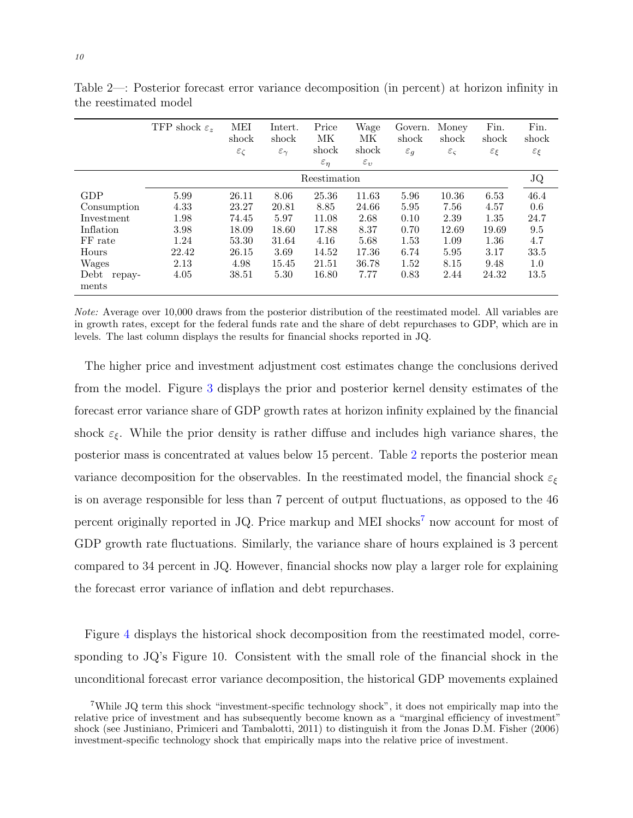|                         | TFP shock $\varepsilon_z$ | <b>MEI</b><br>shock<br>$\varepsilon_\zeta$ | Intert.<br>shock<br>$\varepsilon_{\gamma}$ | Price<br>МK<br>shock<br>$\varepsilon_{\eta}$ | Wage<br>МK<br>shock<br>$\varepsilon_v$ | Govern.<br>shock<br>$\varepsilon_g$ | Money<br>shock<br>$\varepsilon_{\varsigma}$ | Fin.<br>shock<br>$\varepsilon_{\xi}$ | Fin.<br>shock<br>$\varepsilon_{\xi}$ |
|-------------------------|---------------------------|--------------------------------------------|--------------------------------------------|----------------------------------------------|----------------------------------------|-------------------------------------|---------------------------------------------|--------------------------------------|--------------------------------------|
|                         | Reestimation              |                                            |                                            |                                              |                                        |                                     |                                             |                                      | JQ                                   |
| GDP                     | 5.99                      | 26.11                                      | 8.06                                       | 25.36                                        | 11.63                                  | 5.96                                | 10.36                                       | 6.53                                 | 46.4                                 |
| Consumption             | 4.33                      | 23.27                                      | 20.81                                      | 8.85                                         | 24.66                                  | 5.95                                | 7.56                                        | 4.57                                 | 0.6                                  |
| Investment              | 1.98                      | 74.45                                      | 5.97                                       | 11.08                                        | 2.68                                   | 0.10                                | 2.39                                        | 1.35                                 | 24.7                                 |
| Inflation               | 3.98                      | 18.09                                      | 18.60                                      | 17.88                                        | 8.37                                   | 0.70                                | 12.69                                       | 19.69                                | 9.5                                  |
| FF rate                 | 1.24                      | 53.30                                      | 31.64                                      | 4.16                                         | 5.68                                   | 1.53                                | 1.09                                        | 1.36                                 | 4.7                                  |
| Hours                   | 22.42                     | 26.15                                      | 3.69                                       | 14.52                                        | 17.36                                  | 6.74                                | 5.95                                        | 3.17                                 | 33.5                                 |
| Wages                   | 2.13                      | 4.98                                       | 15.45                                      | 21.51                                        | 36.78                                  | 1.52                                | 8.15                                        | 9.48                                 | 1.0                                  |
| Debt<br>repay-<br>ments | 4.05                      | 38.51                                      | 5.30                                       | 16.80                                        | 7.77                                   | 0.83                                | 2.44                                        | 24.32                                | 13.5                                 |

<span id="page-10-0"></span>Table 2—: Posterior forecast error variance decomposition (in percent) at horizon infinity in the reestimated model

Note: Average over 10,000 draws from the posterior distribution of the reestimated model. All variables are in growth rates, except for the federal funds rate and the share of debt repurchases to GDP, which are in levels. The last column displays the results for financial shocks reported in JQ.

The higher price and investment adjustment cost estimates change the conclusions derived from the model. Figure [3](#page-9-1) displays the prior and posterior kernel density estimates of the forecast error variance share of GDP growth rates at horizon infinity explained by the financial shock  $\varepsilon_{\xi}$ . While the prior density is rather diffuse and includes high variance shares, the posterior mass is concentrated at values below 15 percent. Table [2](#page-10-0) reports the posterior mean variance decomposition for the observables. In the reestimated model, the financial shock  $\varepsilon_{\xi}$ is on average responsible for less than 7 percent of output fluctuations, as opposed to the 46 percent originally reported in JQ. Price markup and MEI shocks<sup>[7](#page-10-1)</sup> now account for most of GDP growth rate fluctuations. Similarly, the variance share of hours explained is 3 percent compared to 34 percent in JQ. However, financial shocks now play a larger role for explaining the forecast error variance of inflation and debt repurchases.

Figure [4](#page-11-1) displays the historical shock decomposition from the reestimated model, corresponding to JQ's Figure 10. Consistent with the small role of the financial shock in the unconditional forecast error variance decomposition, the historical GDP movements explained

<span id="page-10-1"></span><sup>7</sup>While JQ term this shock "investment-specific technology shock", it does not empirically map into the relative price of investment and has subsequently become known as a "marginal efficiency of investment" shock (see [Justiniano, Primiceri and Tambalotti,](#page-13-1) [2011\)](#page-13-1) to distinguish it from the [Jonas D.M. Fisher](#page-12-8) [\(2006\)](#page-12-8) investment-specific technology shock that empirically maps into the relative price of investment.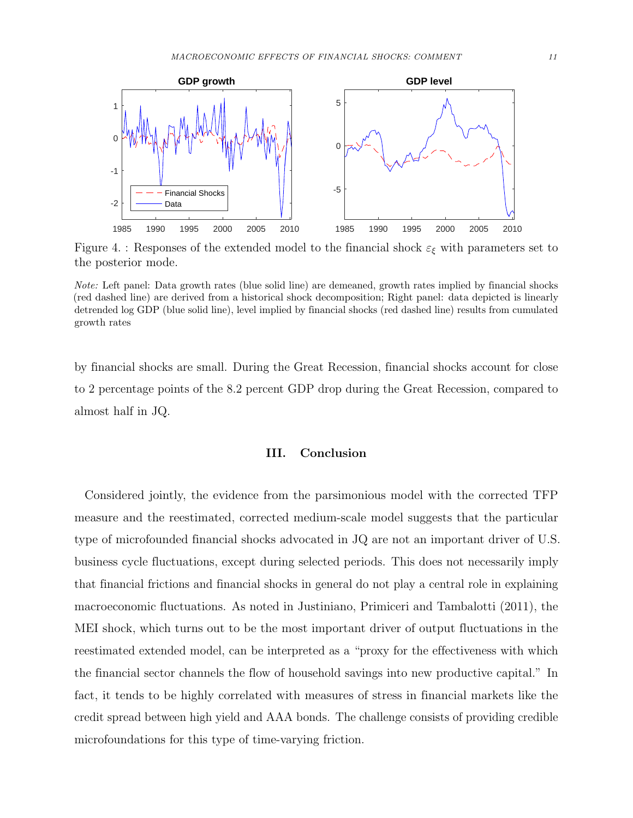<span id="page-11-1"></span>

Figure 4. : Responses of the extended model to the financial shock  $\varepsilon_{\xi}$  with parameters set to the posterior mode.

Note: Left panel: Data growth rates (blue solid line) are demeaned, growth rates implied by financial shocks (red dashed line) are derived from a historical shock decomposition; Right panel: data depicted is linearly detrended log GDP (blue solid line), level implied by financial shocks (red dashed line) results from cumulated growth rates

by financial shocks are small. During the Great Recession, financial shocks account for close to 2 percentage points of the 8.2 percent GDP drop during the Great Recession, compared to almost half in JQ.

#### III. Conclusion

<span id="page-11-0"></span>Considered jointly, the evidence from the parsimonious model with the corrected TFP measure and the reestimated, corrected medium-scale model suggests that the particular type of microfounded financial shocks advocated in JQ are not an important driver of U.S. business cycle fluctuations, except during selected periods. This does not necessarily imply that financial frictions and financial shocks in general do not play a central role in explaining macroeconomic fluctuations. As noted in [Justiniano, Primiceri and Tambalotti](#page-13-1) [\(2011\)](#page-13-1), the MEI shock, which turns out to be the most important driver of output fluctuations in the reestimated extended model, can be interpreted as a "proxy for the effectiveness with which the financial sector channels the flow of household savings into new productive capital." In fact, it tends to be highly correlated with measures of stress in financial markets like the credit spread between high yield and AAA bonds. The challenge consists of providing credible microfoundations for this type of time-varying friction.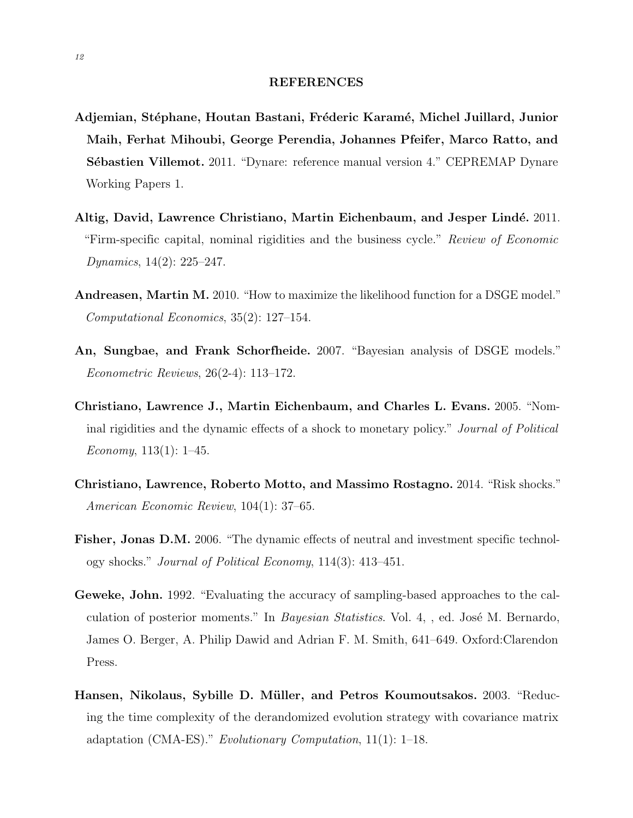#### REFERENCES

- <span id="page-12-2"></span>Adjemian, Stéphane, Houtan Bastani, Fréderic Karamé, Michel Juillard, Junior Maih, Ferhat Mihoubi, George Perendia, Johannes Pfeifer, Marco Ratto, and Sébastien Villemot. 2011. "Dynare: reference manual version 4." CEPREMAP Dynare Working Papers 1.
- <span id="page-12-7"></span>Altig, David, Lawrence Christiano, Martin Eichenbaum, and Jesper Lindé. 2011. "Firm-specific capital, nominal rigidities and the business cycle." Review of Economic Dynamics, 14(2): 225–247.
- <span id="page-12-4"></span>Andreasen, Martin M. 2010. "How to maximize the likelihood function for a DSGE model." Computational Economics, 35(2): 127–154.
- <span id="page-12-1"></span>An, Sungbae, and Frank Schorfheide. 2007. "Bayesian analysis of DSGE models." Econometric Reviews, 26(2-4): 113–172.
- <span id="page-12-6"></span>Christiano, Lawrence J., Martin Eichenbaum, and Charles L. Evans. 2005. "Nominal rigidities and the dynamic effects of a shock to monetary policy." Journal of Political Economy,  $113(1)$ : 1–45.
- <span id="page-12-0"></span>Christiano, Lawrence, Roberto Motto, and Massimo Rostagno. 2014. "Risk shocks." American Economic Review, 104(1): 37–65.
- <span id="page-12-8"></span>Fisher, Jonas D.M. 2006. "The dynamic effects of neutral and investment specific technology shocks." Journal of Political Economy, 114(3): 413–451.
- <span id="page-12-5"></span>Geweke, John. 1992. "Evaluating the accuracy of sampling-based approaches to the calculation of posterior moments." In *Bayesian Statistics*. Vol. 4, , ed. José M. Bernardo, James O. Berger, A. Philip Dawid and Adrian F. M. Smith, 641–649. Oxford:Clarendon Press.
- <span id="page-12-3"></span>Hansen, Nikolaus, Sybille D. Müller, and Petros Koumoutsakos. 2003. "Reducing the time complexity of the derandomized evolution strategy with covariance matrix adaptation (CMA-ES)." Evolutionary Computation, 11(1): 1–18.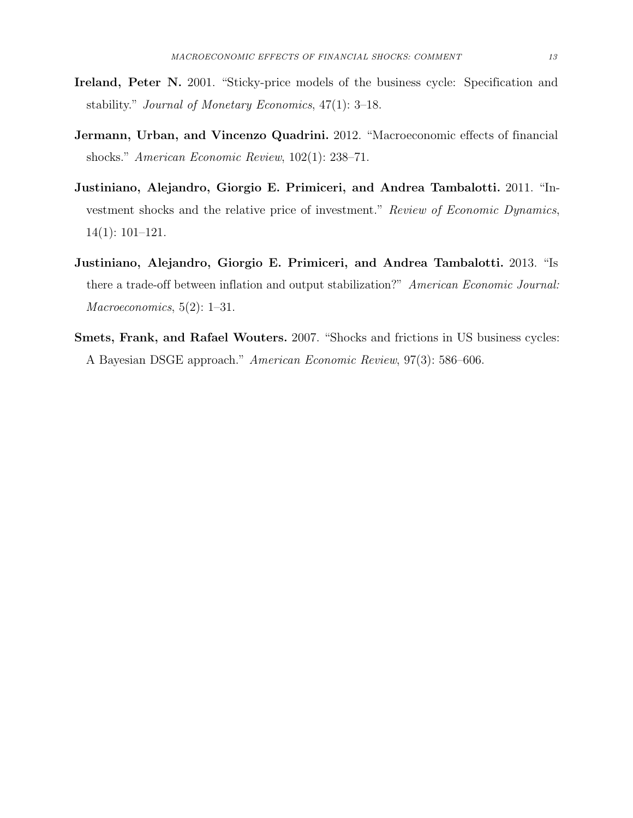- <span id="page-13-2"></span>Ireland, Peter N. 2001. "Sticky-price models of the business cycle: Specification and stability." Journal of Monetary Economics, 47(1): 3–18.
- <span id="page-13-0"></span>Jermann, Urban, and Vincenzo Quadrini. 2012. "Macroeconomic effects of financial shocks." American Economic Review, 102(1): 238–71.
- <span id="page-13-1"></span>Justiniano, Alejandro, Giorgio E. Primiceri, and Andrea Tambalotti. 2011. "Investment shocks and the relative price of investment." Review of Economic Dynamics, 14(1): 101–121.
- <span id="page-13-3"></span>Justiniano, Alejandro, Giorgio E. Primiceri, and Andrea Tambalotti. 2013. "Is there a trade-off between inflation and output stabilization?" American Economic Journal:  $Macroeconomics, 5(2): 1-31.$
- <span id="page-13-4"></span>Smets, Frank, and Rafael Wouters. 2007. "Shocks and frictions in US business cycles: A Bayesian DSGE approach." American Economic Review, 97(3): 586–606.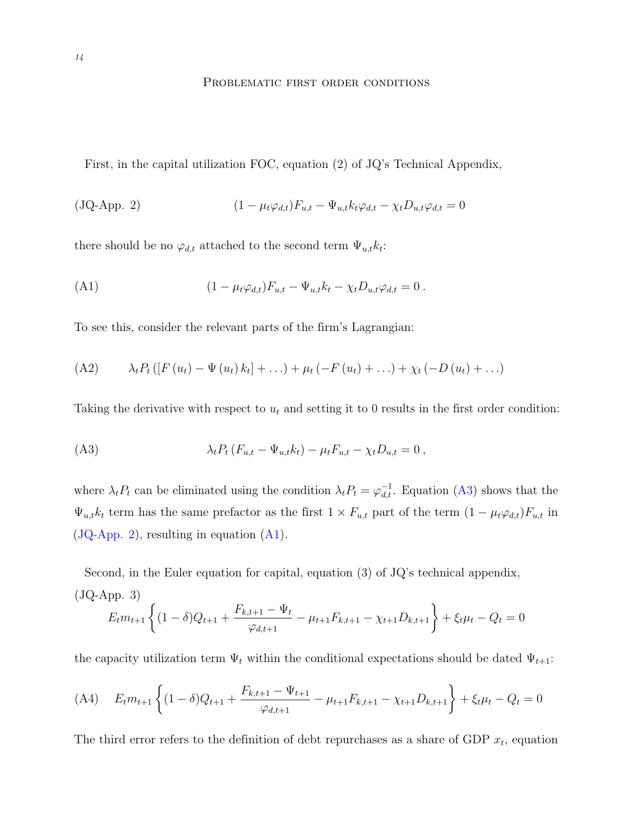# <span id="page-14-3"></span>PROBLEMATIC FIRST ORDER CONDITIONS

<span id="page-14-0"></span>First, in the capital utilization FOC, equation (2) of JQ's Technical Appendix,

<span id="page-14-2"></span>
$$
(JQ-App. 2) \qquad (1 - \mu_t \varphi_{d,t}) F_{u,t} - \Psi_{u,t} k_t \varphi_{d,t} - \chi_t D_{u,t} \varphi_{d,t} = 0
$$

there should be no  $\varphi_{d,t}$  attached to the second term  $\Psi_{u,t}k_t$ :

(A1) 
$$
(1 - \mu_t \varphi_{d,t}) F_{u,t} - \Psi_{u,t} k_t - \chi_t D_{u,t} \varphi_{d,t} = 0.
$$

To see this, consider the relevant parts of the firm's Lagrangian:

(A2) 
$$
\lambda_t P_t ([F(u_t) - \Psi(u_t) k_t] + ... ) + \mu_t (-F(u_t) + ... ) + \chi_t (-D(u_t) + ... )
$$

Taking the derivative with respect to  $u_t$  and setting it to 0 results in the first order condition:

<span id="page-14-1"></span>(A3) 
$$
\lambda_t P_t (F_{u,t} - \Psi_{u,t} k_t) - \mu_t F_{u,t} - \chi_t D_{u,t} = 0,
$$

where  $\lambda_t P_t$  can be eliminated using the condition  $\lambda_t P_t = \varphi_{d,t}^{-1}$ . Equation [\(A3\)](#page-14-1) shows that the  $\Psi_{u,t}k_t$  term has the same prefactor as the first  $1 \times F_{u,t}$  part of the term  $(1 - \mu_t \varphi_{d,t})F_{u,t}$  in [\(JQ-App. 2\)](#page-14-2), resulting in equation [\(A1\)](#page-14-3).

Second, in the Euler equation for capital, equation (3) of JQ's technical appendix,

$$
(JQ-App. 3)
$$
  

$$
E_t m_{t+1} \left\{ (1-\delta)Q_{t+1} + \frac{F_{k,t+1} - \Psi_t}{\varphi_{d,t+1}} - \mu_{t+1} F_{k,t+1} - \chi_{t+1} D_{k,t+1} \right\} + \xi_t \mu_t - Q_t = 0
$$

the capacity utilization term  $\Psi_t$  within the conditional expectations should be dated  $\Psi_{t+1}$ :

$$
(A4) \quad E_t m_{t+1} \left\{ (1 - \delta)Q_{t+1} + \frac{F_{k,t+1} - \Psi_{t+1}}{\varphi_{d,t+1}} - \mu_{t+1} F_{k,t+1} - \chi_{t+1} D_{k,t+1} \right\} + \xi_t \mu_t - Q_t = 0
$$

The third error refers to the definition of debt repurchases as a share of GDP  $x_t$ , equation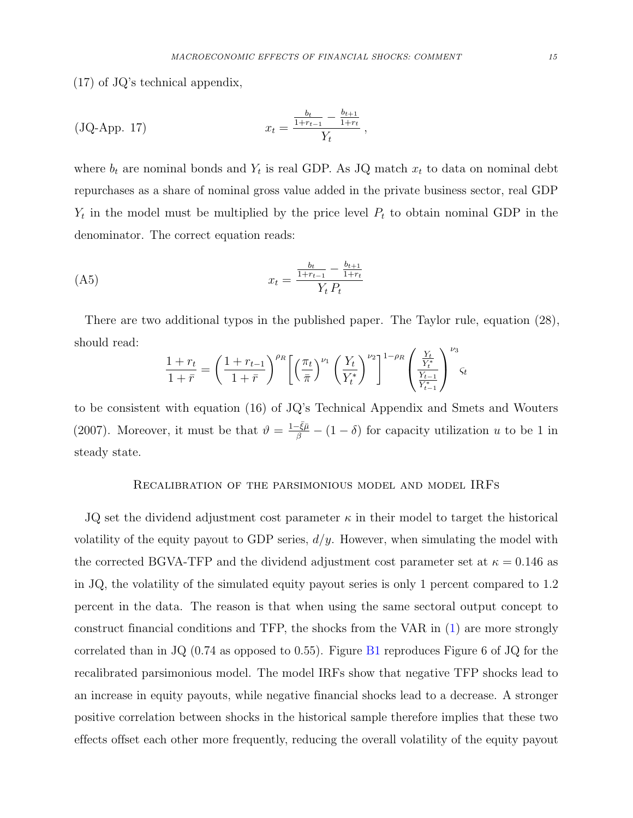(17) of JQ's technical appendix,

(JQ-App. 17) 
$$
x_t = \frac{\frac{b_t}{1+r_{t-1}} - \frac{b_{t+1}}{1+r_t}}{Y_t},
$$

where  $b_t$  are nominal bonds and  $Y_t$  is real GDP. As JQ match  $x_t$  to data on nominal debt repurchases as a share of nominal gross value added in the private business sector, real GDP  $Y_t$  in the model must be multiplied by the price level  $P_t$  to obtain nominal GDP in the denominator. The correct equation reads:

$$
(A5) \t\t x_t = \frac{\frac{b_t}{1+r_{t-1}} - \frac{b_{t+1}}{1+r_t}}{Y_t P_t}
$$

There are two additional typos in the published paper. The Taylor rule, equation (28), should read:

$$
\frac{1+r_t}{1+\bar{r}} = \left(\frac{1+r_{t-1}}{1+\bar{r}}\right)^{\rho_R}\left[\left(\frac{\pi_t}{\bar{\pi}}\right)^{\nu_1}\left(\frac{Y_t}{Y_t^*}\right)^{\nu_2}\right]^{1-\rho_R}\left(\frac{\frac{Y_t}{Y_t^*}}{\frac{Y_{t-1}}{Y_{t-1}^*}}\right)^{\nu_3}\varsigma_t
$$

to be consistent with equation (16) of JQ's Technical Appendix and [Smets and Wouters](#page-13-4) [\(2007\)](#page-13-4). Moreover, it must be that  $\vartheta = \frac{1-\bar{\xi}\bar{\mu}}{\beta} - (1-\delta)$  for capacity utilization u to be 1 in steady state.

## Recalibration of the parsimonious model and model IRFs

<span id="page-15-0"></span>JQ set the dividend adjustment cost parameter  $\kappa$  in their model to target the historical volatility of the equity payout to GDP series,  $d/y$ . However, when simulating the model with the corrected BGVA-TFP and the dividend adjustment cost parameter set at  $\kappa = 0.146$  as in JQ, the volatility of the simulated equity payout series is only 1 percent compared to 1.2 percent in the data. The reason is that when using the same sectoral output concept to construct financial conditions and TFP, the shocks from the VAR in [\(1\)](#page-2-1) are more strongly correlated than in JQ  $(0.74$  as opposed to 0.55). Figure [B1](#page-16-0) reproduces Figure 6 of JQ for the recalibrated parsimonious model. The model IRFs show that negative TFP shocks lead to an increase in equity payouts, while negative financial shocks lead to a decrease. A stronger positive correlation between shocks in the historical sample therefore implies that these two effects offset each other more frequently, reducing the overall volatility of the equity payout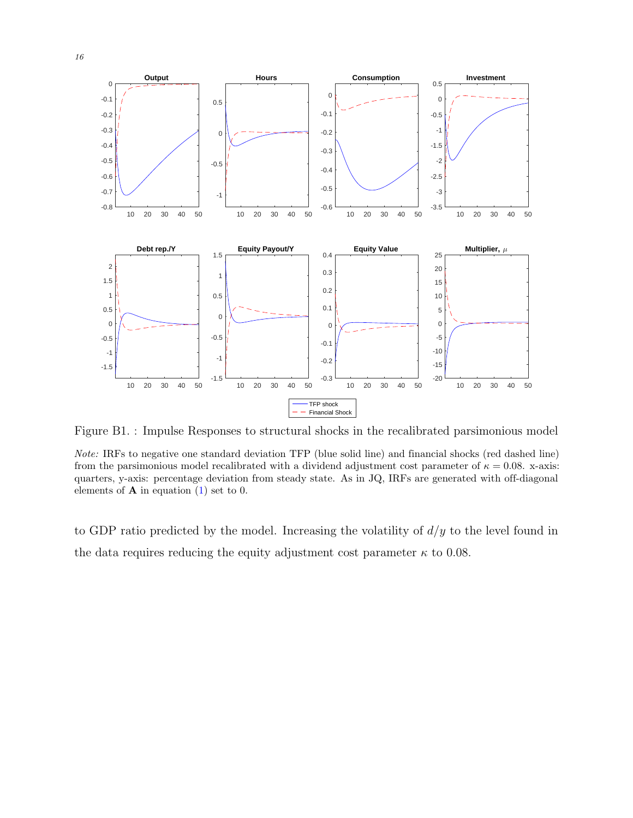<span id="page-16-0"></span>

Figure B1. : Impulse Responses to structural shocks in the recalibrated parsimonious model

Note: IRFs to negative one standard deviation TFP (blue solid line) and financial shocks (red dashed line) from the parsimonious model recalibrated with a dividend adjustment cost parameter of  $\kappa = 0.08$ . x-axis: quarters, y-axis: percentage deviation from steady state. As in JQ, IRFs are generated with off-diagonal elements of  $A$  in equation [\(1\)](#page-2-1) set to 0.

to GDP ratio predicted by the model. Increasing the volatility of  $d/y$  to the level found in the data requires reducing the equity adjustment cost parameter  $\kappa$  to 0.08.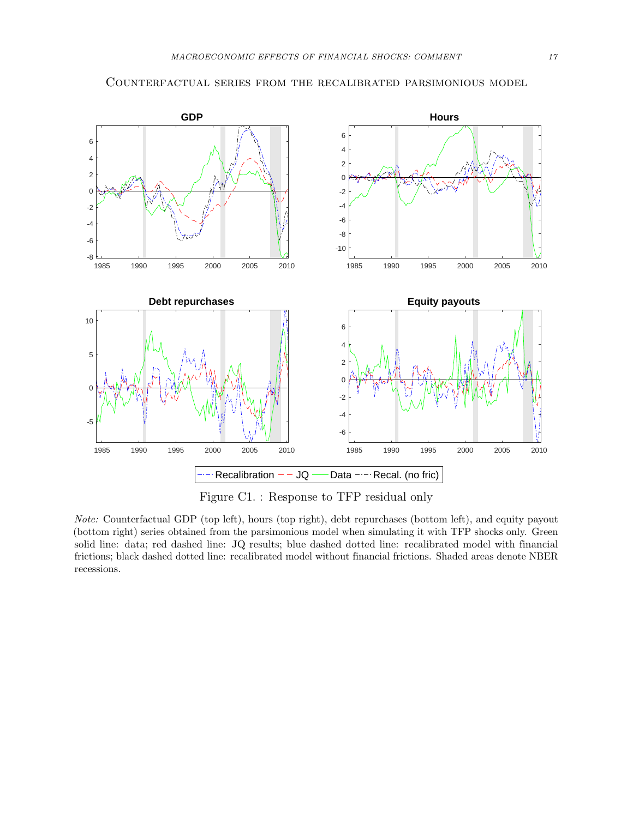<span id="page-17-0"></span>

<span id="page-17-1"></span>

Figure C1. : Response to TFP residual only

Note: Counterfactual GDP (top left), hours (top right), debt repurchases (bottom left), and equity payout (bottom right) series obtained from the parsimonious model when simulating it with TFP shocks only. Green solid line: data; red dashed line: JQ results; blue dashed dotted line: recalibrated model with financial frictions; black dashed dotted line: recalibrated model without financial frictions. Shaded areas denote NBER recessions.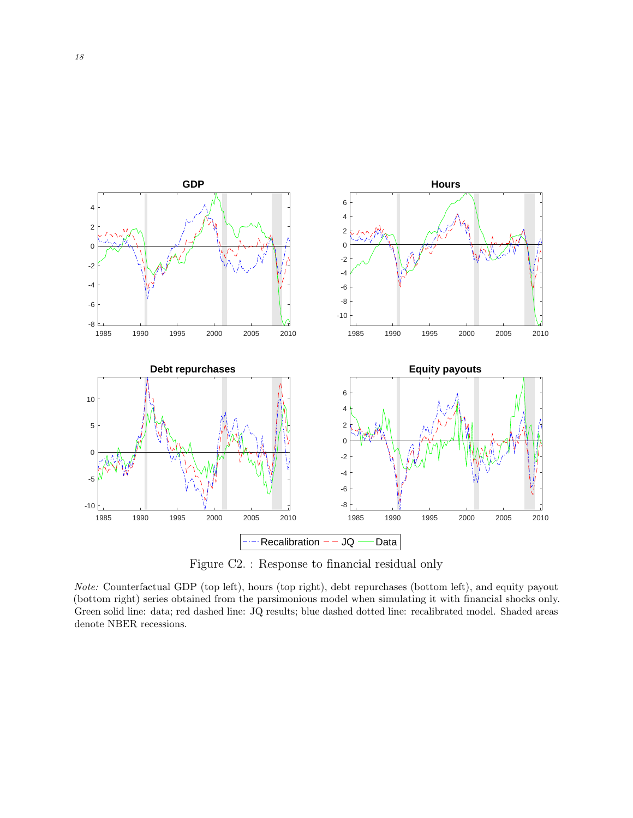<span id="page-18-0"></span>

Figure C2. : Response to financial residual only

Note: Counterfactual GDP (top left), hours (top right), debt repurchases (bottom left), and equity payout (bottom right) series obtained from the parsimonious model when simulating it with financial shocks only. Green solid line: data; red dashed line: JQ results; blue dashed dotted line: recalibrated model. Shaded areas denote NBER recessions.